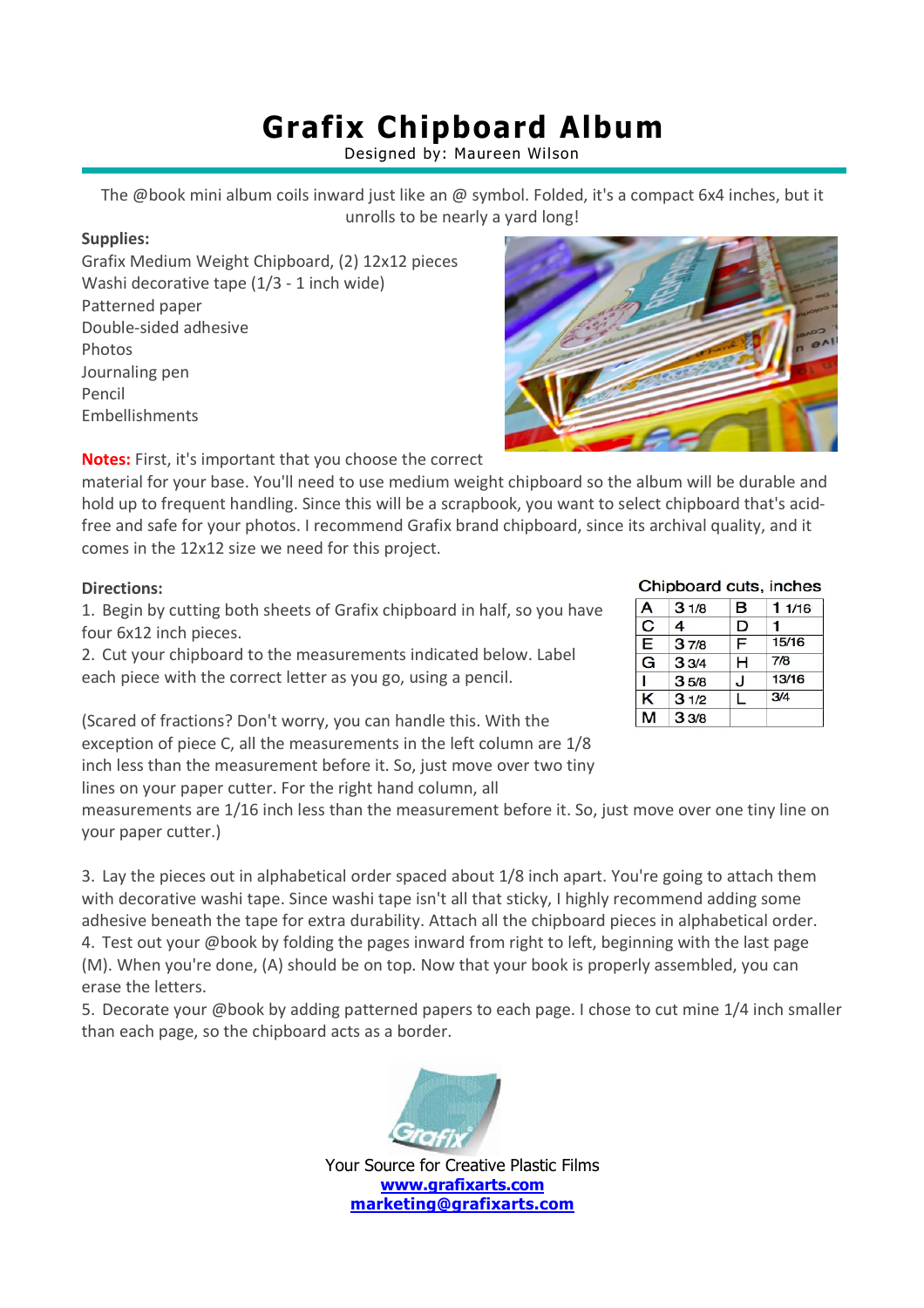## **Grafix Chipboard Album**

Designed by: Maureen Wilson

The @book mini album coils inward just like an @ symbol. Folded, it's a compact 6x4 inches, but it unrolls to be nearly a yard long!

### **Supplies:**

Grafix Medium Weight Chipboard, (2) 12x12 pieces Washi decorative tape (1/3 - 1 inch wide) Patterned paper Double-sided adhesive Photos Journaling pen Pencil Embellishments



material for your base. You'll need to use medium weight chipboard so the album will be durable and hold up to frequent handling. Since this will be a scrapbook, you want to select chipboard that's acidfree and safe for your photos. I recommend Grafix brand chipboard, since its archival quality, and it comes in the 12x12 size we need for this project.

### **Directions:**

1. Begin by cutting both sheets of Grafix chipboard in half, so you have four 6x12 inch pieces.

2. Cut your chipboard to the measurements indicated below. Label each piece with the correct letter as you go, using a pencil.

(Scared of fractions? Don't worry, you can handle this. With the exception of piece C, all the measurements in the left column are 1/8 inch less than the measurement before it. So, just move over two tiny lines on your paper cutter. For the right hand column, all

measurements are 1/16 inch less than the measurement before it. So, just move over one tiny line on your paper cutter.)

3. Lay the pieces out in alphabetical order spaced about 1/8 inch apart. You're going to attach them with decorative washi tape. Since washi tape isn't all that sticky, I highly recommend adding some adhesive beneath the tape for extra durability. Attach all the chipboard pieces in alphabetical order. 4. Test out your @book by folding the pages inward from right to left, beginning with the last page (M). When you're done, (A) should be on top. Now that your book is properly assembled, you can erase the letters.

5. Decorate your @book by adding patterned papers to each page. I chose to cut mine 1/4 inch smaller than each page, so the chipboard acts as a border.



Your Source for Creative Plastic Films **www.grafixarts.com marketing@grafixarts.com**

|  |  | <b>WARD ROAD</b>                      |
|--|--|---------------------------------------|
|  |  | <b>JOICO</b><br>48<br>$\infty$<br>.01 |
|  |  |                                       |

#### Chipboard cuts, inches

| А                     | 31/8 | в | 11/16 |  |
|-----------------------|------|---|-------|--|
| $\overline{\text{c}}$ | 4    | D |       |  |
| Ē                     | 37/8 | F | 15/16 |  |
| G                     | 33/4 | н | 7/8   |  |
|                       | 35/8 | J | 13/16 |  |
| K                     | 31/2 |   | 3/4   |  |
|                       | 33/8 |   |       |  |